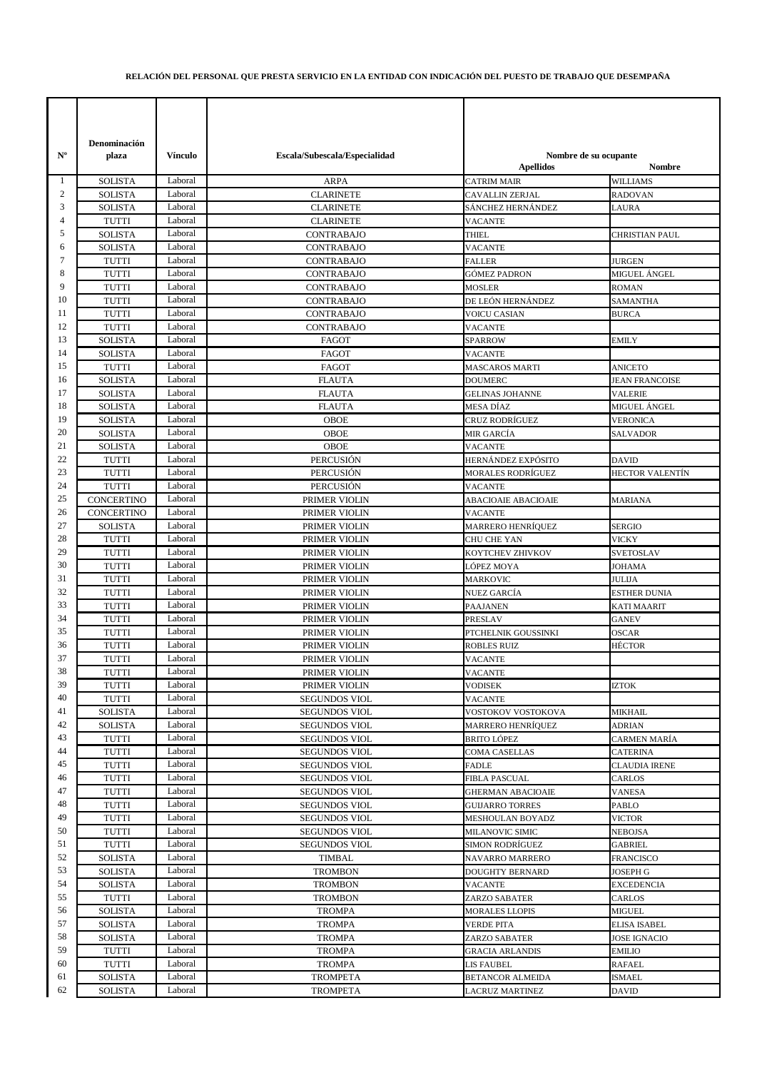## **RELACIÓN DEL PERSONAL QUE PRESTA SERVICIO EN LA ENTIDAD CON INDICACIÓN DEL PUESTO DE TRABAJO QUE DESEMPAÑA**

| $N^{\rm o}$ | Denominación<br>plaza          | Vínculo            | Escala/Subescala/Especialidad                | Nombre de su ocupante                   |                                         |
|-------------|--------------------------------|--------------------|----------------------------------------------|-----------------------------------------|-----------------------------------------|
|             |                                |                    |                                              | <b>Apellidos</b>                        | Nombre                                  |
| 1           | <b>SOLISTA</b>                 | Laboral            | <b>ARPA</b>                                  | <b>CATRIM MAIR</b>                      | <b>WILLIAMS</b>                         |
| 2           | <b>SOLISTA</b>                 | Laboral            | <b>CLARINETE</b>                             | CAVALLIN ZERJAL                         | <b>RADOVAN</b>                          |
| 3           | <b>SOLISTA</b>                 | Laboral            | <b>CLARINETE</b>                             | SÁNCHEZ HERNÁNDEZ                       | LAURA                                   |
| 4           | <b>TUTTI</b>                   | Laboral            | <b>CLARINETE</b>                             | <b>VACANTE</b>                          |                                         |
| 5           | <b>SOLISTA</b>                 | Laboral            | <b>CONTRABAJO</b>                            | <b>THIEL</b>                            | CHRISTIAN PAUL                          |
| 6           | <b>SOLISTA</b>                 | Laboral            | CONTRABAJO                                   | <b>VACANTE</b>                          |                                         |
| 7           | TUTTI                          | Laboral            | CONTRABAJO                                   | <b>FALLER</b>                           | <b>JURGEN</b>                           |
| 8           | <b>TUTTI</b>                   | Laboral            | <b>CONTRABAJO</b>                            | GÓMEZ PADRON                            | MIGUEL ÁNGEL                            |
| 9           | <b>TUTTI</b>                   | Laboral            | CONTRABAJO                                   | MOSLER                                  | ROMAN                                   |
| 10          | <b>TUTTI</b>                   | Laboral            | <b>CONTRABAJO</b>                            | DE LEÓN HERNÁNDEZ                       | SAMANTHA                                |
| 11          | TUTTI                          | Laboral            | CONTRABAJO                                   | VOICU CASIAN                            | BURCA                                   |
| 12<br>13    | <b>TUTTI</b>                   | Laboral<br>Laboral | <b>CONTRABAJO</b>                            | VACANTE                                 |                                         |
| 14          | <b>SOLISTA</b>                 | Laboral            | FAGOT                                        | SPARROW                                 | EMILY                                   |
| 15          | <b>SOLISTA</b>                 | Laboral            | FAGOT                                        | <b>VACANTE</b>                          |                                         |
| 16          | <b>TUTTI</b><br><b>SOLISTA</b> | Laboral            | <b>FAGOT</b><br><b>FLAUTA</b>                | <b>MASCAROS MARTI</b><br><b>DOUMERC</b> | <b>ANICETO</b><br><b>JEAN FRANCOISE</b> |
| 17          | <b>SOLISTA</b>                 | Laboral            | <b>FLAUTA</b>                                | <b>GELINAS JOHANNE</b>                  | <b>VALERIE</b>                          |
| 18          | <b>SOLISTA</b>                 | Laboral            | <b>FLAUTA</b>                                | MESA DÍAZ                               | MIGUEL ÁNGEL                            |
| 19          | <b>SOLISTA</b>                 | Laboral            | <b>OBOE</b>                                  | CRUZ RODRÍGUEZ                          | <b>VERONICA</b>                         |
| 20          | <b>SOLISTA</b>                 | Laboral            | OBOE                                         | MIR GARCÍA                              | SALVADOR                                |
| 21          | <b>SOLISTA</b>                 | Laboral            | <b>OBOE</b>                                  | VACANTE                                 |                                         |
| 22          | <b>TUTTI</b>                   | Laboral            | <b>PERCUSIÓN</b>                             | HERNÁNDEZ EXPÓSITO                      | <b>DAVID</b>                            |
| 23          | <b>TUTTI</b>                   | Laboral            | PERCUSIÓN                                    | MORALES RODRÍGUEZ                       | HECTOR VALENTÍN                         |
| 24          | <b>TUTTI</b>                   | Laboral            | <b>PERCUSIÓN</b>                             | <b>VACANTE</b>                          |                                         |
| 25          | <b>CONCERTINO</b>              | Laboral            | PRIMER VIOLIN                                | <b>ABACIOAIE ABACIOAIE</b>              | MARIANA                                 |
| 26          | <b>CONCERTINO</b>              | Laboral            | PRIMER VIOLIN                                | <b>VACANTE</b>                          |                                         |
| 27          | <b>SOLISTA</b>                 | Laboral            | PRIMER VIOLIN                                | MARRERO HENRÍQUEZ                       | <b>SERGIO</b>                           |
| 28          | <b>TUTTI</b>                   | Laboral            | PRIMER VIOLIN                                | CHU CHE YAN                             | VICKY                                   |
| 29          | <b>TUTTI</b>                   | Laboral            | PRIMER VIOLIN                                | KOYTCHEV ZHIVKOV                        | <b>SVETOSLAV</b>                        |
| 30          | <b>TUTTI</b>                   | Laboral            | PRIMER VIOLIN                                | LÓPEZ MOYA                              | JOHAMA                                  |
| 31          | <b>TUTTI</b>                   | Laboral            | PRIMER VIOLIN                                | MARKOVIC                                | JULIJA                                  |
| 32          | <b>TUTTI</b>                   | Laboral            | PRIMER VIOLIN                                | NUEZ GARCÍA                             | ESTHER DUNIA                            |
| 33          | <b>TUTTI</b>                   | Laboral            | PRIMER VIOLIN                                | <b>PAAJANEN</b>                         | <b>KATI MAARIT</b>                      |
| 34          | TUTTI                          | Laboral            | PRIMER VIOLIN                                | PRESLAV                                 | <b>GANEV</b>                            |
| 35          | <b>TUTTI</b>                   | Laboral            | PRIMER VIOLIN                                | PTCHELNIK GOUSSINKI                     | OSCAR                                   |
| 36          | TUTTI                          | Laboral            | PRIMER VIOLIN                                | ROBLES RUIZ                             | HÉCTOR                                  |
| 37          | <b>TUTTI</b>                   | Laboral            | PRIMER VIOLIN                                | VACANTE                                 |                                         |
| 38          | TUTTI                          | Laboral            | PRIMER VIOLIN                                | VACANTE                                 |                                         |
| 39          | <b>TUTTI</b>                   | Laboral            | PRIMER VIOLIN                                | <b>VODISEK</b>                          | IZTOK                                   |
| 40          | <b>TUTTI</b>                   | Laboral            | <b>SEGUNDOS VIOL</b>                         | <b>VACANTE</b>                          |                                         |
| 41          | <b>SOLISTA</b>                 | Laboral            | <b>SEGUNDOS VIOL</b>                         | VOSTOKOV VOSTOKOVA                      | MIKHAIL                                 |
| 42<br>43    | <b>SOLISTA</b>                 | Laboral<br>Laboral | <b>SEGUNDOS VIOL</b>                         | MARRERO HENRÍQUEZ                       | ADRIAN                                  |
| 44          | <b>TUTTI</b>                   | Laboral            | <b>SEGUNDOS VIOL</b>                         | BRITO LÓPEZ                             | CARMEN MARÍA                            |
| 45          | TUTTI<br><b>TUTTI</b>          | Laboral            | <b>SEGUNDOS VIOL</b><br><b>SEGUNDOS VIOL</b> | COMA CASELLAS<br><b>FADLE</b>           | <b>CATERINA</b><br>CLAUDIA IRENE        |
| 46          | <b>TUTTI</b>                   | Laboral            | <b>SEGUNDOS VIOL</b>                         | FIBLA PASCUAL                           | CARLOS                                  |
| 47          | <b>TUTTI</b>                   | Laboral            | <b>SEGUNDOS VIOL</b>                         | GHERMAN ABACIOAIE                       | VANESA                                  |
| 48          | TUTTI                          | Laboral            | <b>SEGUNDOS VIOL</b>                         | <b>GUIJARRO TORRES</b>                  | PABLO                                   |
| 49          | <b>TUTTI</b>                   | Laboral            | <b>SEGUNDOS VIOL</b>                         | MESHOULAN BOYADZ                        | VICTOR                                  |
| 50          | <b>TUTTI</b>                   | Laboral            | <b>SEGUNDOS VIOL</b>                         | MILANOVIC SIMIC                         | NEBOJSA                                 |
| 51          | <b>TUTTI</b>                   | Laboral            | <b>SEGUNDOS VIOL</b>                         | SIMON RODRÍGUEZ                         | GABRIEL                                 |
| 52          | <b>SOLISTA</b>                 | Laboral            | <b>TIMBAL</b>                                | NAVARRO MARRERO                         | FRANCISCO                               |
| 53          | <b>SOLISTA</b>                 | Laboral            | <b>TROMBON</b>                               | <b>DOUGHTY BERNARD</b>                  | JOSEPH G                                |
| 54          | <b>SOLISTA</b>                 | Laboral            | <b>TROMBON</b>                               | VACANTE                                 | EXCEDENCIA                              |
| 55          | <b>TUTTI</b>                   | Laboral            | <b>TROMBON</b>                               | ZARZO SABATER                           | CARLOS                                  |
| 56          | <b>SOLISTA</b>                 | Laboral            | <b>TROMPA</b>                                | <b>MORALES LLOPIS</b>                   | MIGUEL                                  |
| 57          | <b>SOLISTA</b>                 | Laboral            | <b>TROMPA</b>                                | VERDE PITA                              | ELISA ISABEL                            |
| 58          | <b>SOLISTA</b>                 | Laboral            | <b>TROMPA</b>                                | ZARZO SABATER                           | JOSE IGNACIO                            |
| 59          | TUTTI                          | Laboral            | <b>TROMPA</b>                                | <b>GRACIA ARLANDIS</b>                  | <b>EMILIO</b>                           |
| 60          | <b>TUTTI</b>                   | Laboral            | <b>TROMPA</b>                                | LIS FAUBEL                              | <b>RAFAEL</b>                           |
| 61          | <b>SOLISTA</b>                 | Laboral            | <b>TROMPETA</b>                              | BETANCOR ALMEIDA                        | ISMAEL                                  |
| 62          | <b>SOLISTA</b>                 | Laboral            | <b>TROMPETA</b>                              | LACRUZ MARTINEZ                         | DAVID                                   |